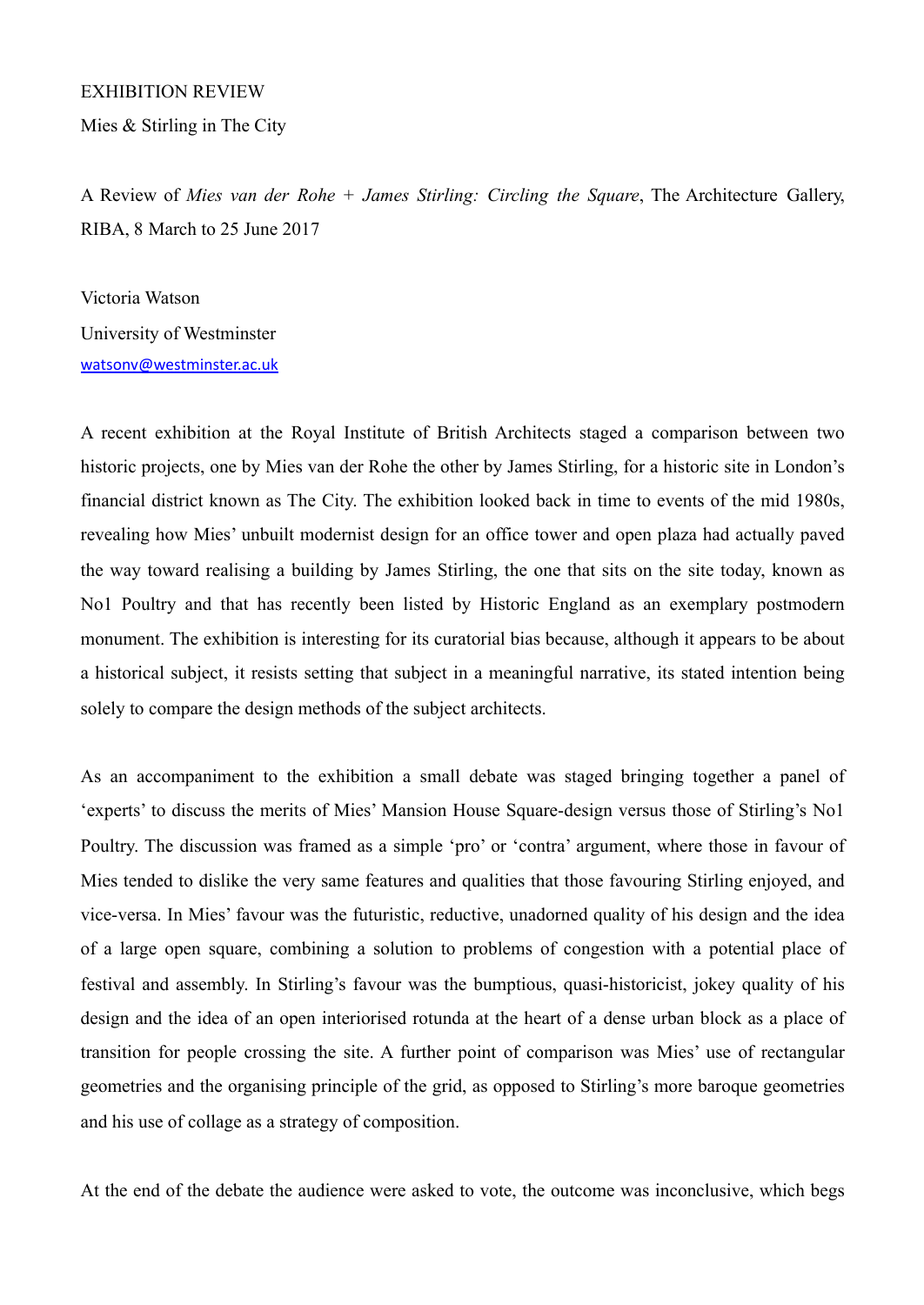## EXHIBITION REVIEW

Mies & Stirling in The City

A Review of *Mies van der Rohe + James Stirling: Circling the Square*, The Architecture Gallery, RIBA, 8 March to 25 June 2017

Victoria Watson University of Westminster [watsonv@westminster.ac.uk](mailto:watsonv@westminster.ac.uk)

A recent exhibition at the Royal Institute of British Architects staged a comparison between two historic projects, one by Mies van der Rohe the other by James Stirling, for a historic site in London's financial district known as The City. The exhibition looked back in time to events of the mid 1980s, revealing how Mies' unbuilt modernist design for an office tower and open plaza had actually paved the way toward realising a building by James Stirling, the one that sits on the site today, known as No1 Poultry and that has recently been listed by Historic England as an exemplary postmodern monument. The exhibition is interesting for its curatorial bias because, although it appears to be about a historical subject, it resists setting that subject in a meaningful narrative, its stated intention being solely to compare the design methods of the subject architects.

As an accompaniment to the exhibition a small debate was staged bringing together a panel of 'experts' to discuss the merits of Mies' Mansion House Square-design versus those of Stirling's No1 Poultry. The discussion was framed as a simple 'pro' or 'contra' argument, where those in favour of Mies tended to dislike the very same features and qualities that those favouring Stirling enjoyed, and vice-versa. In Mies' favour was the futuristic, reductive, unadorned quality of his design and the idea of a large open square, combining a solution to problems of congestion with a potential place of festival and assembly. In Stirling's favour was the bumptious, quasi-historicist, jokey quality of his design and the idea of an open interiorised rotunda at the heart of a dense urban block as a place of transition for people crossing the site. A further point of comparison was Mies' use of rectangular geometries and the organising principle of the grid, as opposed to Stirling's more baroque geometries and his use of collage as a strategy of composition.

At the end of the debate the audience were asked to vote, the outcome was inconclusive, which begs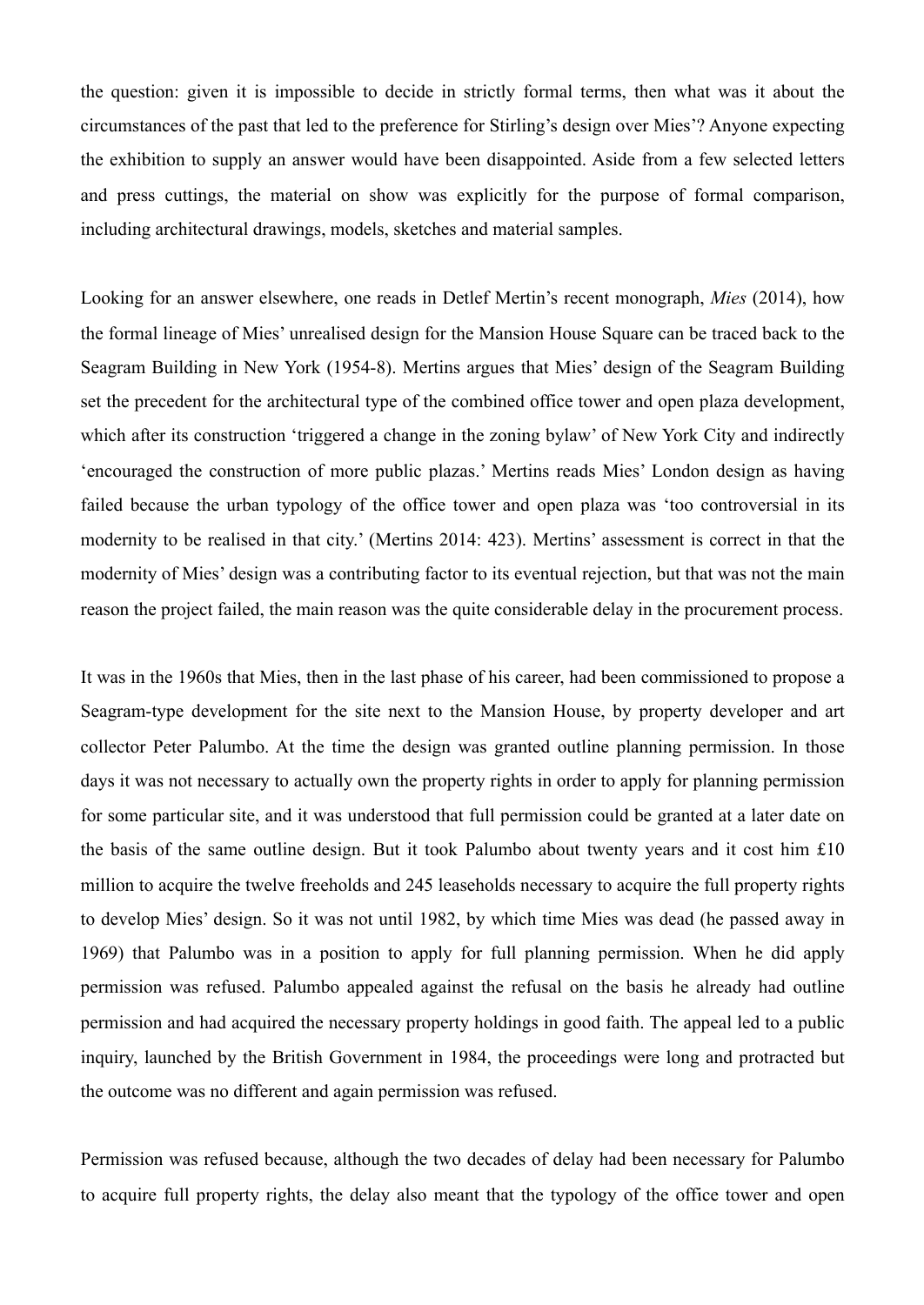the question: given it is impossible to decide in strictly formal terms, then what was it about the circumstances of the past that led to the preference for Stirling's design over Mies'? Anyone expecting the exhibition to supply an answer would have been disappointed. Aside from a few selected letters and press cuttings, the material on show was explicitly for the purpose of formal comparison, including architectural drawings, models, sketches and material samples.

Looking for an answer elsewhere, one reads in Detlef Mertin's recent monograph, *Mies* (2014), how the formal lineage of Mies' unrealised design for the Mansion House Square can be traced back to the Seagram Building in New York (1954-8). Mertins argues that Mies' design of the Seagram Building set the precedent for the architectural type of the combined office tower and open plaza development, which after its construction 'triggered a change in the zoning bylaw' of New York City and indirectly 'encouraged the construction of more public plazas.' Mertins reads Mies' London design as having failed because the urban typology of the office tower and open plaza was 'too controversial in its modernity to be realised in that city.' (Mertins 2014: 423). Mertins' assessment is correct in that the modernity of Mies' design was a contributing factor to its eventual rejection, but that was not the main reason the project failed, the main reason was the quite considerable delay in the procurement process.

It was in the 1960s that Mies, then in the last phase of his career, had been commissioned to propose a Seagram-type development for the site next to the Mansion House, by property developer and art collector Peter Palumbo. At the time the design was granted outline planning permission. In those days it was not necessary to actually own the property rights in order to apply for planning permission for some particular site, and it was understood that full permission could be granted at a later date on the basis of the same outline design. But it took Palumbo about twenty years and it cost him £10 million to acquire the twelve freeholds and 245 leaseholds necessary to acquire the full property rights to develop Mies' design. So it was not until 1982, by which time Mies was dead (he passed away in 1969) that Palumbo was in a position to apply for full planning permission. When he did apply permission was refused. Palumbo appealed against the refusal on the basis he already had outline permission and had acquired the necessary property holdings in good faith. The appeal led to a public inquiry, launched by the British Government in 1984, the proceedings were long and protracted but the outcome was no different and again permission was refused.

Permission was refused because, although the two decades of delay had been necessary for Palumbo to acquire full property rights, the delay also meant that the typology of the office tower and open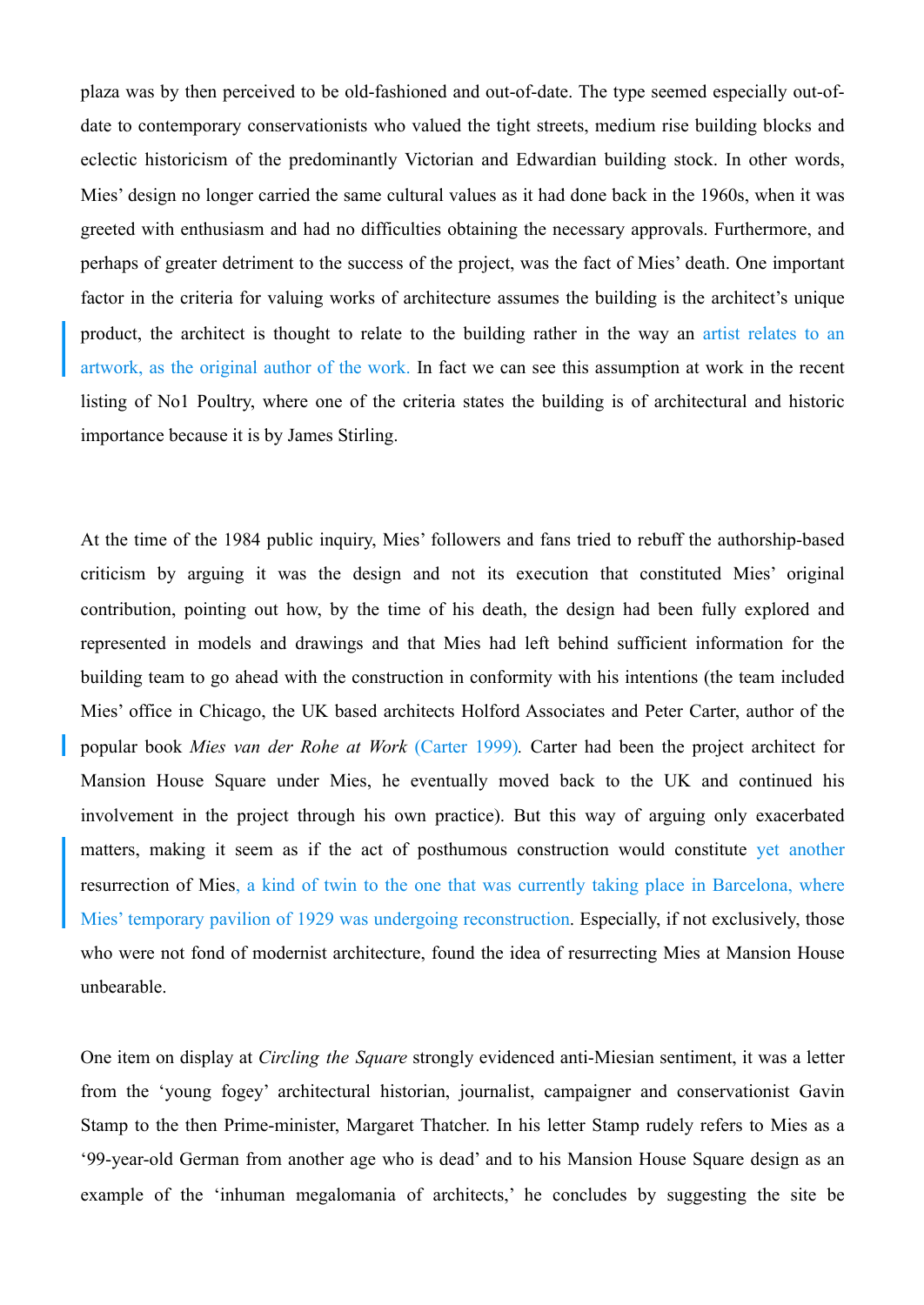plaza was by then perceived to be old-fashioned and out-of-date. The type seemed especially out-ofdate to contemporary conservationists who valued the tight streets, medium rise building blocks and eclectic historicism of the predominantly Victorian and Edwardian building stock. In other words, Mies' design no longer carried the same cultural values as it had done back in the 1960s, when it was greeted with enthusiasm and had no difficulties obtaining the necessary approvals. Furthermore, and perhaps of greater detriment to the success of the project, was the fact of Mies' death. One important factor in the criteria for valuing works of architecture assumes the building is the architect's unique product, the architect is thought to relate to the building rather in the way an artist relates to an artwork, as the original author of the work. In fact we can see this assumption at work in the recent listing of No1 Poultry, where one of the criteria states the building is of architectural and historic importance because it is by James Stirling.

At the time of the 1984 public inquiry, Mies' followers and fans tried to rebuff the authorship-based criticism by arguing it was the design and not its execution that constituted Mies' original contribution, pointing out how, by the time of his death, the design had been fully explored and represented in models and drawings and that Mies had left behind sufficient information for the building team to go ahead with the construction in conformity with his intentions (the team included Mies' office in Chicago, the UK based architects Holford Associates and Peter Carter, author of the popular book *Mies van der Rohe at Work* (Carter 1999)*.* Carter had been the project architect for Mansion House Square under Mies, he eventually moved back to the UK and continued his involvement in the project through his own practice). But this way of arguing only exacerbated matters, making it seem as if the act of posthumous construction would constitute yet another resurrection of Mies, a kind of twin to the one that was currently taking place in Barcelona, where Mies' temporary pavilion of 1929 was undergoing reconstruction. Especially, if not exclusively, those who were not fond of modernist architecture, found the idea of resurrecting Mies at Mansion House unbearable.

One item on display at *Circling the Square* strongly evidenced anti-Miesian sentiment, it was a letter from the 'young fogey' architectural historian, journalist, campaigner and conservationist Gavin Stamp to the then Prime-minister, Margaret Thatcher. In his letter Stamp rudely refers to Mies as a '99-year-old German from another age who is dead' and to his Mansion House Square design as an example of the 'inhuman megalomania of architects,' he concludes by suggesting the site be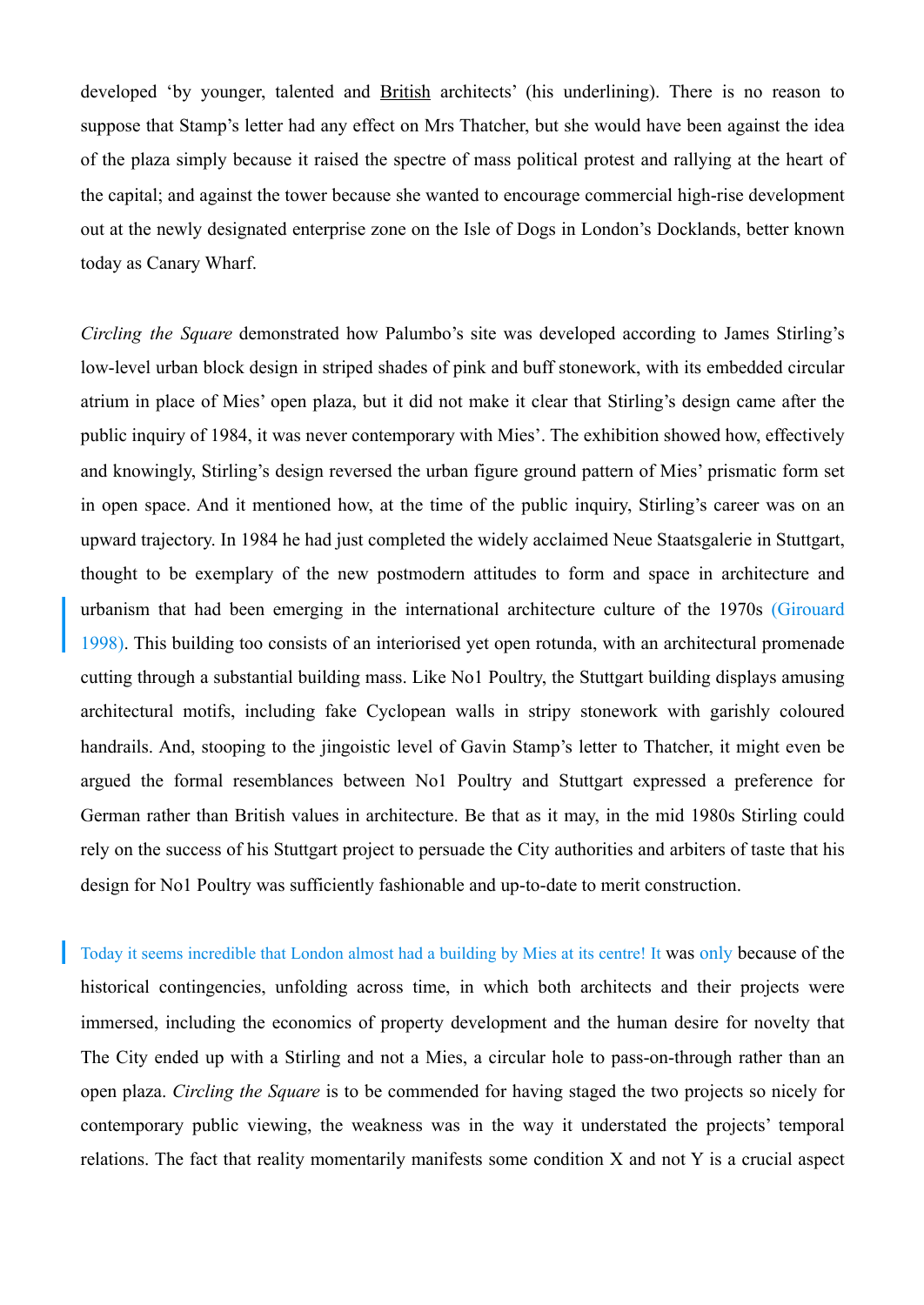developed 'by younger, talented and British architects' (his underlining). There is no reason to suppose that Stamp's letter had any effect on Mrs Thatcher, but she would have been against the idea of the plaza simply because it raised the spectre of mass political protest and rallying at the heart of the capital; and against the tower because she wanted to encourage commercial high-rise development out at the newly designated enterprise zone on the Isle of Dogs in London's Docklands, better known today as Canary Wharf.

*Circling the Square* demonstrated how Palumbo's site was developed according to James Stirling's low-level urban block design in striped shades of pink and buff stonework, with its embedded circular atrium in place of Mies' open plaza, but it did not make it clear that Stirling's design came after the public inquiry of 1984, it was never contemporary with Mies'. The exhibition showed how, effectively and knowingly, Stirling's design reversed the urban figure ground pattern of Mies' prismatic form set in open space. And it mentioned how, at the time of the public inquiry, Stirling's career was on an upward trajectory. In 1984 he had just completed the widely acclaimed Neue Staatsgalerie in Stuttgart, thought to be exemplary of the new postmodern attitudes to form and space in architecture and urbanism that had been emerging in the international architecture culture of the 1970s (Girouard 1998). This building too consists of an interiorised yet open rotunda, with an architectural promenade cutting through a substantial building mass. Like No1 Poultry, the Stuttgart building displays amusing architectural motifs, including fake Cyclopean walls in stripy stonework with garishly coloured handrails. And, stooping to the jingoistic level of Gavin Stamp's letter to Thatcher, it might even be argued the formal resemblances between No1 Poultry and Stuttgart expressed a preference for German rather than British values in architecture. Be that as it may, in the mid 1980s Stirling could rely on the success of his Stuttgart project to persuade the City authorities and arbiters of taste that his design for No1 Poultry was sufficiently fashionable and up-to-date to merit construction.

Today it seems incredible that London almost had a building by Mies at its centre! It was only because of the historical contingencies, unfolding across time, in which both architects and their projects were immersed, including the economics of property development and the human desire for novelty that The City ended up with a Stirling and not a Mies, a circular hole to pass-on-through rather than an open plaza. *Circling the Square* is to be commended for having staged the two projects so nicely for contemporary public viewing, the weakness was in the way it understated the projects' temporal relations. The fact that reality momentarily manifests some condition X and not Y is a crucial aspect